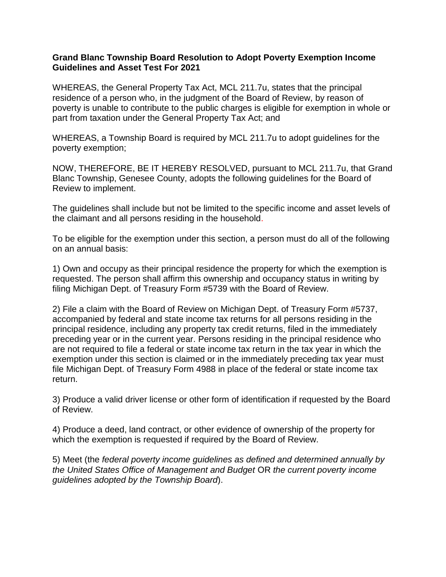## **Grand Blanc Township Board Resolution to Adopt Poverty Exemption Income Guidelines and Asset Test For 2021**

WHEREAS, the General Property Tax Act, MCL 211.7u, states that the principal residence of a person who, in the judgment of the Board of Review, by reason of poverty is unable to contribute to the public charges is eligible for exemption in whole or part from taxation under the General Property Tax Act; and

WHEREAS, a Township Board is required by MCL 211.7u to adopt guidelines for the poverty exemption;

NOW, THEREFORE, BE IT HEREBY RESOLVED, pursuant to MCL 211.7u, that Grand Blanc Township, Genesee County, adopts the following guidelines for the Board of Review to implement.

The guidelines shall include but not be limited to the specific income and asset levels of the claimant and all persons residing in the household.

To be eligible for the exemption under this section, a person must do all of the following on an annual basis:

1) Own and occupy as their principal residence the property for which the exemption is requested. The person shall affirm this ownership and occupancy status in writing by filing Michigan Dept. of Treasury Form #5739 with the Board of Review.

2) File a claim with the Board of Review on Michigan Dept. of Treasury Form #5737, accompanied by federal and state income tax returns for all persons residing in the principal residence, including any property tax credit returns, filed in the immediately preceding year or in the current year. Persons residing in the principal residence who are not required to file a federal or state income tax return in the tax year in which the exemption under this section is claimed or in the immediately preceding tax year must file Michigan Dept. of Treasury Form 4988 in place of the federal or state income tax return.

3) Produce a valid driver license or other form of identification if requested by the Board of Review.

4) Produce a deed, land contract, or other evidence of ownership of the property for which the exemption is requested if required by the Board of Review.

5) Meet (the *federal poverty income guidelines as defined and determined annually by the United States Office of Management and Budget* OR *the current poverty income guidelines adopted by the Township Board*).